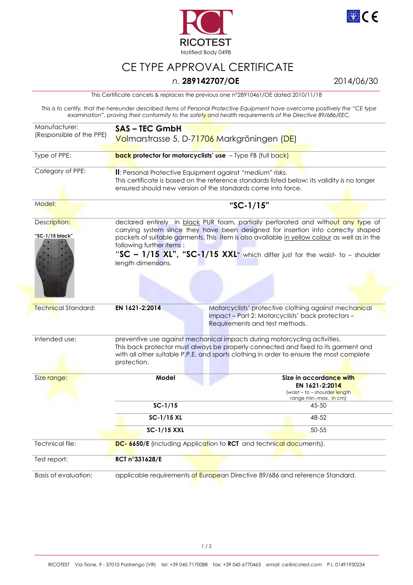



## CE TYPE APPROVAL CERTIFICATE

## *n.* **289142707/OE** 2014/06/30

This Certificate cancels & replaces the previous one n°28910461/OE dated 2010/11/18

*This is to certify, that the hereunder described items of Personal Protective Equipment have overcome positively the "CE type examination", proving their conformity to the safety and health requirements of the Directive 89/686/EEC.* 

| Manufacturer:<br>(Responsible of the PPE) | <b>SAS-TEC GmbH</b><br>Volmarstrasse 5, D-71706 Markgröningen (DE)                                                                                                                                                                                                                                                                                                                                       |                                                                                                      |
|-------------------------------------------|----------------------------------------------------------------------------------------------------------------------------------------------------------------------------------------------------------------------------------------------------------------------------------------------------------------------------------------------------------------------------------------------------------|------------------------------------------------------------------------------------------------------|
| Type of PPE:                              | <b>back protector for motorcyclists' use</b> - Type FB (full back)                                                                                                                                                                                                                                                                                                                                       |                                                                                                      |
| Category of PPE:                          | II: Personal Protective Equipment against "medium" risks.<br>This certificate is based on the reference standards listed below: its validity is no longer<br>ensured should new version of the standards come into force.                                                                                                                                                                                |                                                                                                      |
| Model:                                    | "SC-1/15"                                                                                                                                                                                                                                                                                                                                                                                                |                                                                                                      |
| Description:<br>"SC-1/15 black"           | declared entirely in black PUR foam, partially perforated and without any type of<br>carrying system since they have been designed for insertion into correctly shaped<br>pockets of suitable garments. This item is also available in yellow colour as well as in the<br>following further items:<br>"SC - 1/15 XL", "SC-1/15 XXL" which differ just for the waist- to - shoulder<br>length dimensions. |                                                                                                      |
| Technical Standard:                       | EN 1621-2:2014<br>Motorcyclists' protective clothing against mechanical<br>impact - Part 2: Motorcyclists' back protectors -<br>Requirements and test methods.                                                                                                                                                                                                                                           |                                                                                                      |
| Intended use:                             | preventive use against mechanical impacts during motorcycling activities.<br>This back protector must always be properly connected and fixed to its garment and<br>with all other suitable P.P.E. and sports clothing in order to ensure the most complete<br>protection.                                                                                                                                |                                                                                                      |
| Size range:                               | Model                                                                                                                                                                                                                                                                                                                                                                                                    | Size in accordance with<br>EN 1621-2:2014<br>(waist - to - shoulder length<br>range min.-max. in cm) |
|                                           | $SC-1/15$                                                                                                                                                                                                                                                                                                                                                                                                | 45-50                                                                                                |
|                                           | SC-1/15 XL                                                                                                                                                                                                                                                                                                                                                                                               | 48-52                                                                                                |
|                                           | <b>SC-1/15 XXL</b>                                                                                                                                                                                                                                                                                                                                                                                       | $50 - 55$                                                                                            |
| Technical file:                           | DC-6650/E (including Application to RCT and technical documents).                                                                                                                                                                                                                                                                                                                                        |                                                                                                      |
| Test report:                              | RCT n°331628/E                                                                                                                                                                                                                                                                                                                                                                                           |                                                                                                      |
| Basis of evaluation:                      | applicable requirements of European Directive 89/686 and reference Standard.                                                                                                                                                                                                                                                                                                                             |                                                                                                      |